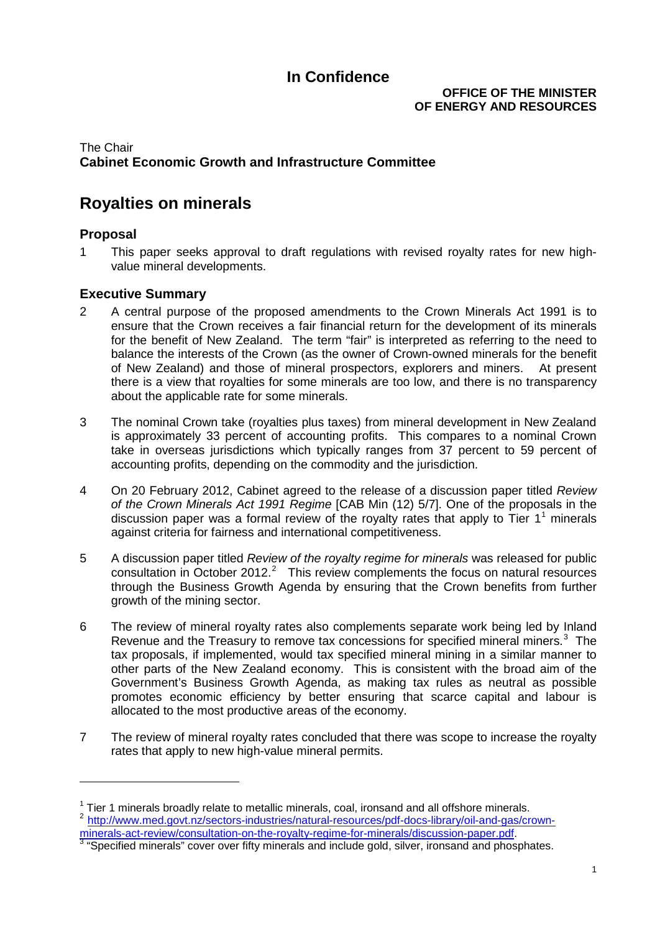#### **OFFICE OF THE MINISTER OF ENERGY AND RESOURCES**

#### The Chair **Cabinet Economic Growth and Infrastructure Committee**

## **Royalties on minerals**

#### **Proposal**

-

1 This paper seeks approval to draft regulations with revised royalty rates for new highvalue mineral developments.

#### **Executive Summary**

- 2 A central purpose of the proposed amendments to the Crown Minerals Act 1991 is to ensure that the Crown receives a fair financial return for the development of its minerals for the benefit of New Zealand. The term "fair" is interpreted as referring to the need to balance the interests of the Crown (as the owner of Crown-owned minerals for the benefit of New Zealand) and those of mineral prospectors, explorers and miners. At present there is a view that royalties for some minerals are too low, and there is no transparency about the applicable rate for some minerals.
- 3 The nominal Crown take (royalties plus taxes) from mineral development in New Zealand is approximately 33 percent of accounting profits. This compares to a nominal Crown take in overseas jurisdictions which typically ranges from 37 percent to 59 percent of accounting profits, depending on the commodity and the jurisdiction.
- 4 On 20 February 2012, Cabinet agreed to the release of a discussion paper titled *Review of the Crown Minerals Act 1991 Regime* [CAB Min (12) 5/7]. One of the proposals in the discussion paper was a formal review of the royalty rates that apply to Tier  $1^1$  $1^1$  minerals against criteria for fairness and international competitiveness.
- 5 A discussion paper titled *Review of the royalty regime for minerals* was released for public consultation in October [2](#page-0-1)012. $^2$  This review complements the focus on natural resources through the Business Growth Agenda by ensuring that the Crown benefits from further growth of the mining sector.
- 6 The review of mineral royalty rates also complements separate work being led by Inland Revenue and the Treasury to remove tax concessions for specified mineral miners. $3$  The tax proposals, if implemented, would tax specified mineral mining in a similar manner to other parts of the New Zealand economy. This is consistent with the broad aim of the Government's Business Growth Agenda, as making tax rules as neutral as possible promotes economic efficiency by better ensuring that scarce capital and labour is allocated to the most productive areas of the economy.
- 7 The review of mineral royalty rates concluded that there was scope to increase the royalty rates that apply to new high-value mineral permits.

<span id="page-0-3"></span><span id="page-0-0"></span> $1$  Tier 1 minerals broadly relate to metallic minerals, coal, ironsand and all offshore minerals. <sup>2</sup> [http://www.med.govt.nz/sectors-industries/natural-resources/pdf-docs-library/oil-and-gas/crown-](http://www.med.govt.nz/sectors-industries/natural-resources/pdf-docs-library/oil-and-gas/crown-minerals-act-review/consultation-on-the-royalty-regime-for-minerals/discussion-paper.pdf)

<span id="page-0-2"></span><span id="page-0-1"></span>[minerals-act-review/consultation-on-the-royalty-regime-for-minerals/discussion-paper.pdf.](http://www.med.govt.nz/sectors-industries/natural-resources/pdf-docs-library/oil-and-gas/crown-minerals-act-review/consultation-on-the-royalty-regime-for-minerals/discussion-paper.pdf)<br><sup>[3](http://www.med.govt.nz/sectors-industries/natural-resources/pdf-docs-library/oil-and-gas/crown-minerals-act-review/consultation-on-the-royalty-regime-for-minerals/discussion-paper.pdf)</sup> "Specified minerals" cover over fifty minerals and include gold, silver, ironsand and phosphates.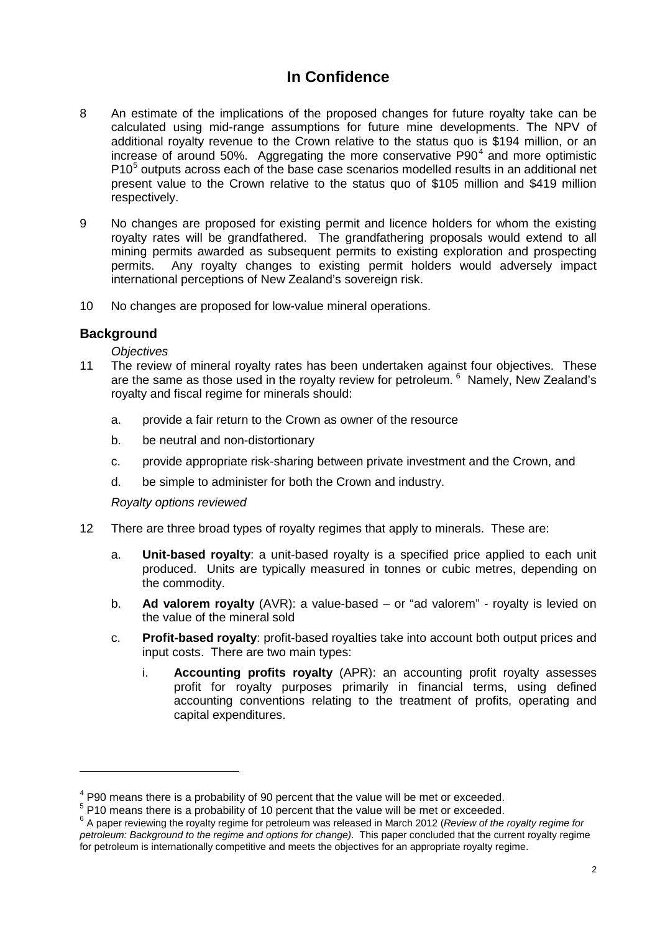- 8 An estimate of the implications of the proposed changes for future royalty take can be calculated using mid-range assumptions for future mine developments. The NPV of additional royalty revenue to the Crown relative to the status quo is \$194 million, or an increase of around 50%. Aggregating the more conservative  $P90<sup>4</sup>$  $P90<sup>4</sup>$  $P90<sup>4</sup>$  and more optimistic P10<sup>[5](#page-1-0)</sup> outputs across each of the base case scenarios modelled results in an additional net present value to the Crown relative to the status quo of \$105 million and \$419 million respectively.
- 9 No changes are proposed for existing permit and licence holders for whom the existing royalty rates will be grandfathered. The grandfathering proposals would extend to all mining permits awarded as subsequent permits to existing exploration and prospecting permits. Any royalty changes to existing permit holders would adversely impact international perceptions of New Zealand's sovereign risk.
- 10 No changes are proposed for low-value mineral operations.

#### **Background**

-

*Objectives*

- 11 The review of mineral royalty rates has been undertaken against four objectives. These are the same as those used in the royalty review for petroleum. <sup>[6](#page-1-1)</sup> Namely, New Zealand's royalty and fiscal regime for minerals should:
	- a. provide a fair return to the Crown as owner of the resource
	- b. be neutral and non-distortionary
	- c. provide appropriate risk-sharing between private investment and the Crown, and
	- d. be simple to administer for both the Crown and industry.

*Royalty options reviewed*

- 12 There are three broad types of royalty regimes that apply to minerals. These are:
	- a. **Unit-based royalty**: a unit-based royalty is a specified price applied to each unit produced. Units are typically measured in tonnes or cubic metres, depending on the commodity.
	- b. **Ad valorem royalty** (AVR): a value-based or "ad valorem" royalty is levied on the value of the mineral sold
	- c. **Profit-based royalty**: profit-based royalties take into account both output prices and input costs. There are two main types:
		- i. **Accounting profits royalty** (APR): an accounting profit royalty assesses profit for royalty purposes primarily in financial terms, using defined accounting conventions relating to the treatment of profits, operating and capital expenditures.

<sup>&</sup>lt;sup>4</sup> P90 means there is a probability of 90 percent that the value will be met or exceeded.

<span id="page-1-2"></span><span id="page-1-0"></span><sup>&</sup>lt;sup>5</sup> P10 means there is a probability of 10 percent that the value will be met or exceeded.

<span id="page-1-1"></span><sup>6</sup> A paper reviewing the royalty regime for petroleum was released in March 2012 (*Review of the royalty regime for petroleum: Background to the regime and options for change)*. This paper concluded that the current royalty regime for petroleum is internationally competitive and meets the objectives for an appropriate royalty regime.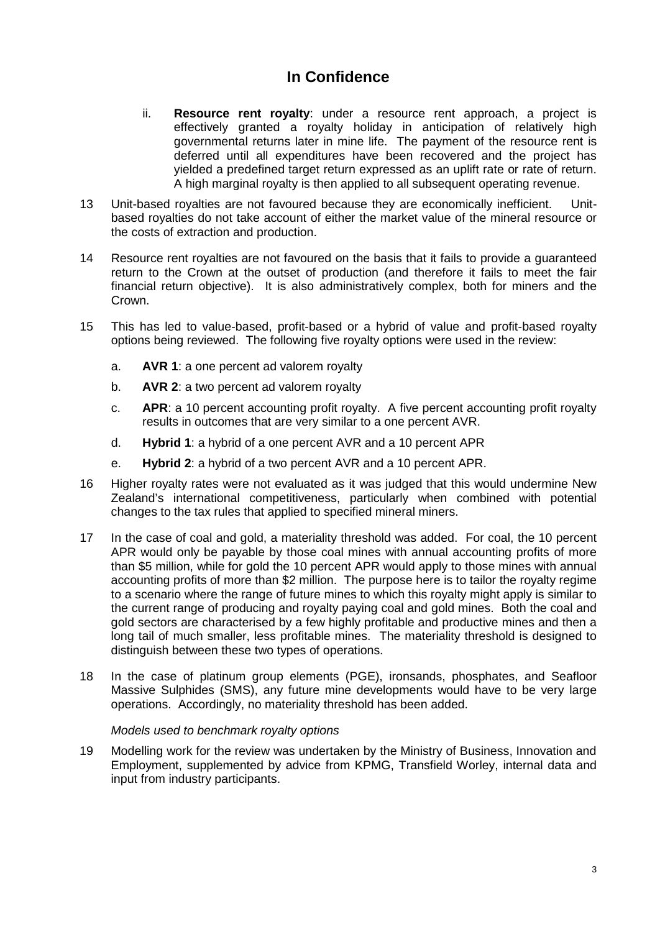- ii. **Resource rent royalty**: under a resource rent approach, a project is effectively granted a royalty holiday in anticipation of relatively high governmental returns later in mine life. The payment of the resource rent is deferred until all expenditures have been recovered and the project has yielded a predefined target return expressed as an uplift rate or rate of return. A high marginal royalty is then applied to all subsequent operating revenue.
- 13 Unit-based royalties are not favoured because they are economically inefficient. Unitbased royalties do not take account of either the market value of the mineral resource or the costs of extraction and production.
- 14 Resource rent royalties are not favoured on the basis that it fails to provide a guaranteed return to the Crown at the outset of production (and therefore it fails to meet the fair financial return objective). It is also administratively complex, both for miners and the Crown.
- 15 This has led to value-based, profit-based or a hybrid of value and profit-based royalty options being reviewed. The following five royalty options were used in the review:
	- a. **AVR 1**: a one percent ad valorem royalty
	- b. **AVR 2**: a two percent ad valorem royalty
	- c. **APR**: a 10 percent accounting profit royalty. A five percent accounting profit royalty results in outcomes that are very similar to a one percent AVR.
	- d. **Hybrid 1**: a hybrid of a one percent AVR and a 10 percent APR
	- e. **Hybrid 2**: a hybrid of a two percent AVR and a 10 percent APR.
- 16 Higher royalty rates were not evaluated as it was judged that this would undermine New Zealand's international competitiveness, particularly when combined with potential changes to the tax rules that applied to specified mineral miners.
- 17 In the case of coal and gold, a materiality threshold was added. For coal, the 10 percent APR would only be payable by those coal mines with annual accounting profits of more than \$5 million, while for gold the 10 percent APR would apply to those mines with annual accounting profits of more than \$2 million. The purpose here is to tailor the royalty regime to a scenario where the range of future mines to which this royalty might apply is similar to the current range of producing and royalty paying coal and gold mines. Both the coal and gold sectors are characterised by a few highly profitable and productive mines and then a long tail of much smaller, less profitable mines. The materiality threshold is designed to distinguish between these two types of operations.
- 18 In the case of platinum group elements (PGE), ironsands, phosphates, and Seafloor Massive Sulphides (SMS), any future mine developments would have to be very large operations. Accordingly, no materiality threshold has been added.

#### *Models used to benchmark royalty options*

19 Modelling work for the review was undertaken by the Ministry of Business, Innovation and Employment, supplemented by advice from KPMG, Transfield Worley, internal data and input from industry participants.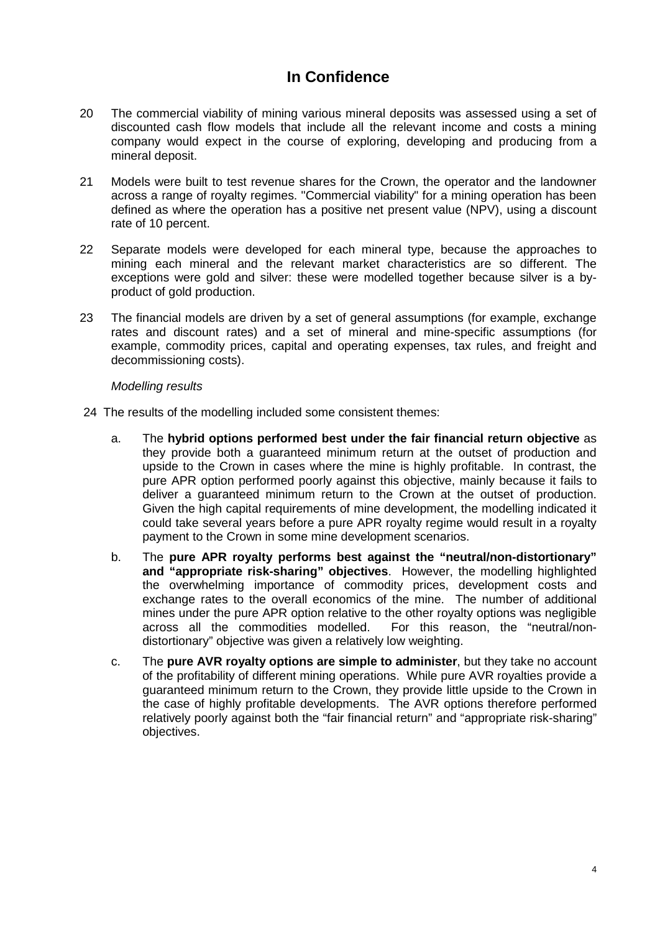- 20 The commercial viability of mining various mineral deposits was assessed using a set of discounted cash flow models that include all the relevant income and costs a mining company would expect in the course of exploring, developing and producing from a mineral deposit.
- 21 Models were built to test revenue shares for the Crown, the operator and the landowner across a range of royalty regimes. "Commercial viability" for a mining operation has been defined as where the operation has a positive net present value (NPV), using a discount rate of 10 percent.
- 22 Separate models were developed for each mineral type, because the approaches to mining each mineral and the relevant market characteristics are so different. The exceptions were gold and silver: these were modelled together because silver is a byproduct of gold production.
- 23 The financial models are driven by a set of general assumptions (for example, exchange rates and discount rates) and a set of mineral and mine-specific assumptions (for example, commodity prices, capital and operating expenses, tax rules, and freight and decommissioning costs).

#### *Modelling results*

- 24 The results of the modelling included some consistent themes:
	- a. The **hybrid options performed best under the fair financial return objective** as they provide both a guaranteed minimum return at the outset of production and upside to the Crown in cases where the mine is highly profitable. In contrast, the pure APR option performed poorly against this objective, mainly because it fails to deliver a guaranteed minimum return to the Crown at the outset of production. Given the high capital requirements of mine development, the modelling indicated it could take several years before a pure APR royalty regime would result in a royalty payment to the Crown in some mine development scenarios.
	- b. The **pure APR royalty performs best against the "neutral/non-distortionary" and "appropriate risk-sharing" objectives**. However, the modelling highlighted the overwhelming importance of commodity prices, development costs and exchange rates to the overall economics of the mine. The number of additional mines under the pure APR option relative to the other royalty options was negligible across all the commodities modelled. For this reason, the "neutral/nondistortionary" objective was given a relatively low weighting.
	- c. The **pure AVR royalty options are simple to administer**, but they take no account of the profitability of different mining operations. While pure AVR royalties provide a guaranteed minimum return to the Crown, they provide little upside to the Crown in the case of highly profitable developments. The AVR options therefore performed relatively poorly against both the "fair financial return" and "appropriate risk-sharing" objectives.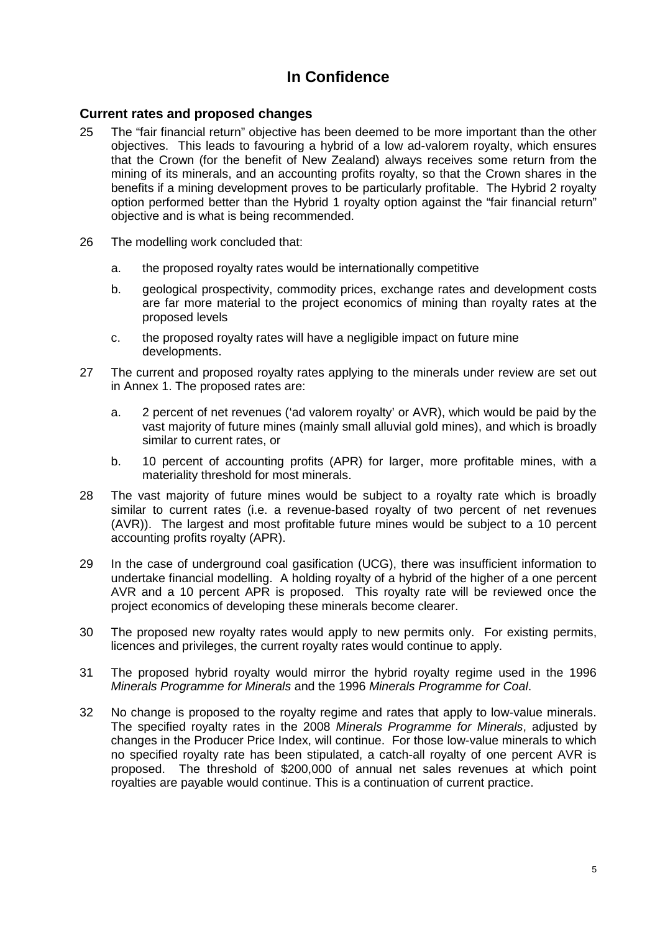#### **Current rates and proposed changes**

- 25 The "fair financial return" objective has been deemed to be more important than the other objectives. This leads to favouring a hybrid of a low ad-valorem royalty, which ensures that the Crown (for the benefit of New Zealand) always receives some return from the mining of its minerals, and an accounting profits royalty, so that the Crown shares in the benefits if a mining development proves to be particularly profitable. The Hybrid 2 royalty option performed better than the Hybrid 1 royalty option against the "fair financial return" objective and is what is being recommended.
- 26 The modelling work concluded that:
	- a. the proposed royalty rates would be internationally competitive
	- b. geological prospectivity, commodity prices, exchange rates and development costs are far more material to the project economics of mining than royalty rates at the proposed levels
	- c. the proposed royalty rates will have a negligible impact on future mine developments.
- 27 The current and proposed royalty rates applying to the minerals under review are set out in Annex 1. The proposed rates are:
	- a. 2 percent of net revenues ('ad valorem royalty' or AVR), which would be paid by the vast majority of future mines (mainly small alluvial gold mines), and which is broadly similar to current rates, or
	- b. 10 percent of accounting profits (APR) for larger, more profitable mines, with a materiality threshold for most minerals.
- 28 The vast majority of future mines would be subject to a royalty rate which is broadly similar to current rates (i.e. a revenue-based royalty of two percent of net revenues (AVR)). The largest and most profitable future mines would be subject to a 10 percent accounting profits royalty (APR).
- 29 In the case of underground coal gasification (UCG), there was insufficient information to undertake financial modelling. A holding royalty of a hybrid of the higher of a one percent AVR and a 10 percent APR is proposed. This royalty rate will be reviewed once the project economics of developing these minerals become clearer.
- 30 The proposed new royalty rates would apply to new permits only. For existing permits, licences and privileges, the current royalty rates would continue to apply.
- 31 The proposed hybrid royalty would mirror the hybrid royalty regime used in the 1996 *Minerals Programme for Minerals* and the 1996 *Minerals Programme for Coal*.
- 32 No change is proposed to the royalty regime and rates that apply to low-value minerals. The specified royalty rates in the 2008 *Minerals Programme for Minerals*, adjusted by changes in the Producer Price Index, will continue. For those low-value minerals to which no specified royalty rate has been stipulated, a catch-all royalty of one percent AVR is proposed. The threshold of \$200,000 of annual net sales revenues at which point royalties are payable would continue. This is a continuation of current practice.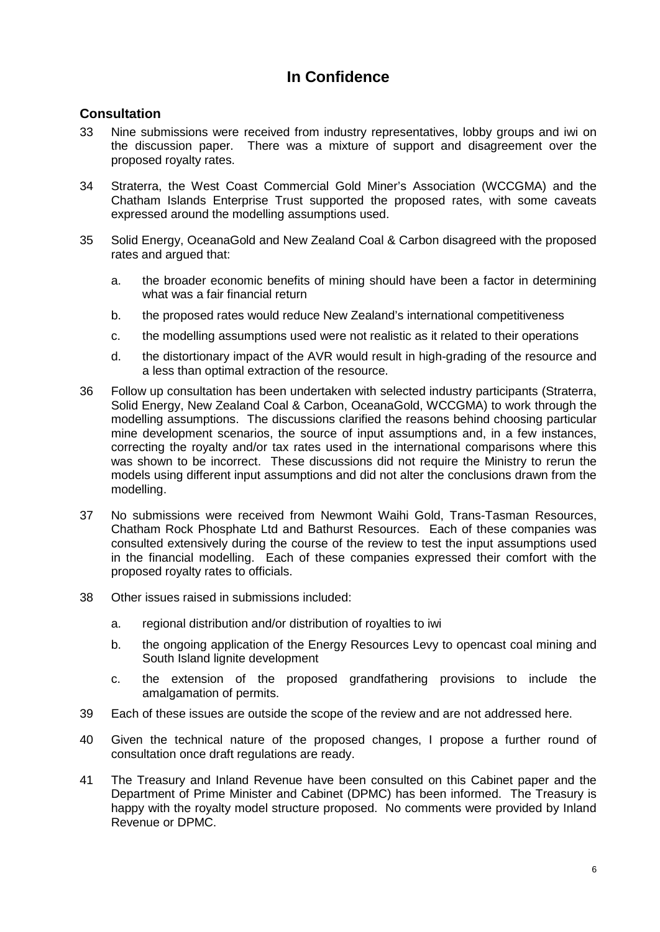#### **Consultation**

- 33 Nine submissions were received from industry representatives, lobby groups and iwi on the discussion paper. There was a mixture of support and disagreement over the proposed royalty rates.
- 34 Straterra, the West Coast Commercial Gold Miner's Association (WCCGMA) and the Chatham Islands Enterprise Trust supported the proposed rates, with some caveats expressed around the modelling assumptions used.
- 35 Solid Energy, OceanaGold and New Zealand Coal & Carbon disagreed with the proposed rates and argued that:
	- a. the broader economic benefits of mining should have been a factor in determining what was a fair financial return
	- b. the proposed rates would reduce New Zealand's international competitiveness
	- c. the modelling assumptions used were not realistic as it related to their operations
	- d. the distortionary impact of the AVR would result in high-grading of the resource and a less than optimal extraction of the resource.
- 36 Follow up consultation has been undertaken with selected industry participants (Straterra, Solid Energy, New Zealand Coal & Carbon, OceanaGold, WCCGMA) to work through the modelling assumptions. The discussions clarified the reasons behind choosing particular mine development scenarios, the source of input assumptions and, in a few instances, correcting the royalty and/or tax rates used in the international comparisons where this was shown to be incorrect. These discussions did not require the Ministry to rerun the models using different input assumptions and did not alter the conclusions drawn from the modelling.
- 37 No submissions were received from Newmont Waihi Gold, Trans-Tasman Resources, Chatham Rock Phosphate Ltd and Bathurst Resources. Each of these companies was consulted extensively during the course of the review to test the input assumptions used in the financial modelling. Each of these companies expressed their comfort with the proposed royalty rates to officials.
- 38 Other issues raised in submissions included:
	- a. regional distribution and/or distribution of royalties to iwi
	- b. the ongoing application of the Energy Resources Levy to opencast coal mining and South Island lignite development
	- c. the extension of the proposed grandfathering provisions to include the amalgamation of permits.
- 39 Each of these issues are outside the scope of the review and are not addressed here.
- 40 Given the technical nature of the proposed changes, I propose a further round of consultation once draft regulations are ready.
- 41 The Treasury and Inland Revenue have been consulted on this Cabinet paper and the Department of Prime Minister and Cabinet (DPMC) has been informed. The Treasury is happy with the royalty model structure proposed. No comments were provided by Inland Revenue or DPMC.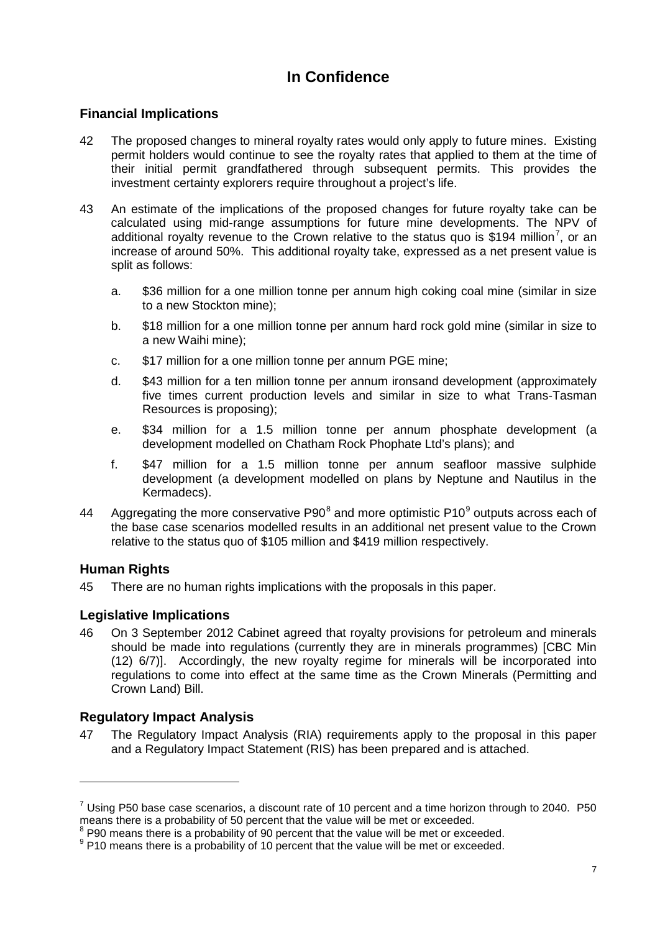#### **Financial Implications**

- 42 The proposed changes to mineral royalty rates would only apply to future mines. Existing permit holders would continue to see the royalty rates that applied to them at the time of their initial permit grandfathered through subsequent permits. This provides the investment certainty explorers require throughout a project's life.
- 43 An estimate of the implications of the proposed changes for future royalty take can be calculated using mid-range assumptions for future mine developments. The NPV of additional royalty revenue to the Crown relative to the status quo is \$194 million<sup>[7](#page-1-2)</sup>, or an increase of around 50%. This additional royalty take, expressed as a net present value is split as follows:
	- a. \$36 million for a one million tonne per annum high coking coal mine (similar in size to a new Stockton mine);
	- b. \$18 million for a one million tonne per annum hard rock gold mine (similar in size to a new Waihi mine);
	- c. \$17 million for a one million tonne per annum PGE mine;
	- d. \$43 million for a ten million tonne per annum ironsand development (approximately five times current production levels and similar in size to what Trans-Tasman Resources is proposing);
	- e. \$34 million for a 1.5 million tonne per annum phosphate development (a development modelled on Chatham Rock Phophate Ltd's plans); and
	- f. \$47 million for a 1.5 million tonne per annum seafloor massive sulphide development (a development modelled on plans by Neptune and Nautilus in the Kermadecs).
- 44 Aggregating the more conservative P[9](#page-6-1)0 $^8$  $^8$  and more optimistic P10 $^9$  outputs across each of the base case scenarios modelled results in an additional net present value to the Crown relative to the status quo of \$105 million and \$419 million respectively.

#### **Human Rights**

-

45 There are no human rights implications with the proposals in this paper.

### **Legislative Implications**

46 On 3 September 2012 Cabinet agreed that royalty provisions for petroleum and minerals should be made into regulations (currently they are in minerals programmes) [CBC Min (12) 6/7)]. Accordingly, the new royalty regime for minerals will be incorporated into regulations to come into effect at the same time as the Crown Minerals (Permitting and Crown Land) Bill.

### **Regulatory Impact Analysis**

47 The Regulatory Impact Analysis (RIA) requirements apply to the proposal in this paper and a Regulatory Impact Statement (RIS) has been prepared and is attached.

 $7$  Using P50 base case scenarios, a discount rate of 10 percent and a time horizon through to 2040. P50 means there is a probability of 50 percent that the value will be met or exceeded.

<sup>&</sup>lt;sup>8</sup> P90 means there is a probability of 90 percent that the value will be met or exceeded.

<span id="page-6-1"></span><span id="page-6-0"></span> $9$  P10 means there is a probability of 10 percent that the value will be met or exceeded.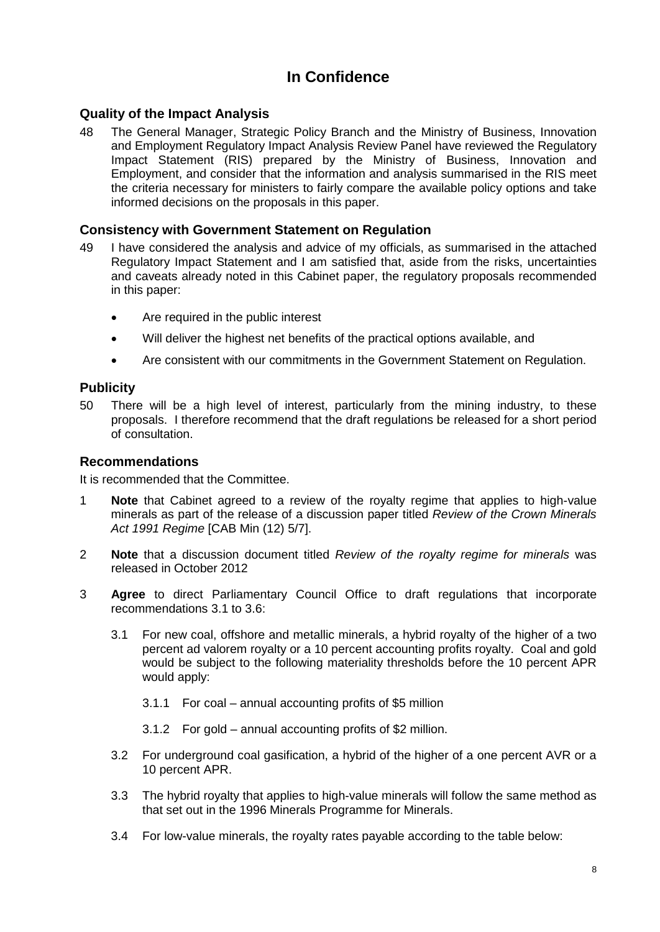#### **Quality of the Impact Analysis**

48 The General Manager, Strategic Policy Branch and the Ministry of Business, Innovation and Employment Regulatory Impact Analysis Review Panel have reviewed the Regulatory Impact Statement (RIS) prepared by the Ministry of Business, Innovation and Employment, and consider that the information and analysis summarised in the RIS meet the criteria necessary for ministers to fairly compare the available policy options and take informed decisions on the proposals in this paper.

#### **Consistency with Government Statement on Regulation**

- 49 I have considered the analysis and advice of my officials, as summarised in the attached Regulatory Impact Statement and I am satisfied that, aside from the risks, uncertainties and caveats already noted in this Cabinet paper, the regulatory proposals recommended in this paper:
	- Are required in the public interest
	- Will deliver the highest net benefits of the practical options available, and
	- Are consistent with our commitments in the Government Statement on Regulation.

#### **Publicity**

50 There will be a high level of interest, particularly from the mining industry, to these proposals. I therefore recommend that the draft regulations be released for a short period of consultation.

#### **Recommendations**

It is recommended that the Committee.

- 1 **Note** that Cabinet agreed to a review of the royalty regime that applies to high-value minerals as part of the release of a discussion paper titled *Review of the Crown Minerals Act 1991 Regime* [CAB Min (12) 5/7].
- 2 **Note** that a discussion document titled *Review of the royalty regime for minerals* was released in October 2012
- 3 **Agree** to direct Parliamentary Council Office to draft regulations that incorporate recommendations 3.1 to 3.6:
	- 3.1 For new coal, offshore and metallic minerals, a hybrid royalty of the higher of a two percent ad valorem royalty or a 10 percent accounting profits royalty. Coal and gold would be subject to the following materiality thresholds before the 10 percent APR would apply:
		- 3.1.1 For coal annual accounting profits of \$5 million
		- 3.1.2 For gold annual accounting profits of \$2 million.
	- 3.2 For underground coal gasification, a hybrid of the higher of a one percent AVR or a 10 percent APR.
	- 3.3 The hybrid royalty that applies to high-value minerals will follow the same method as that set out in the 1996 Minerals Programme for Minerals.
	- 3.4 For low-value minerals, the royalty rates payable according to the table below: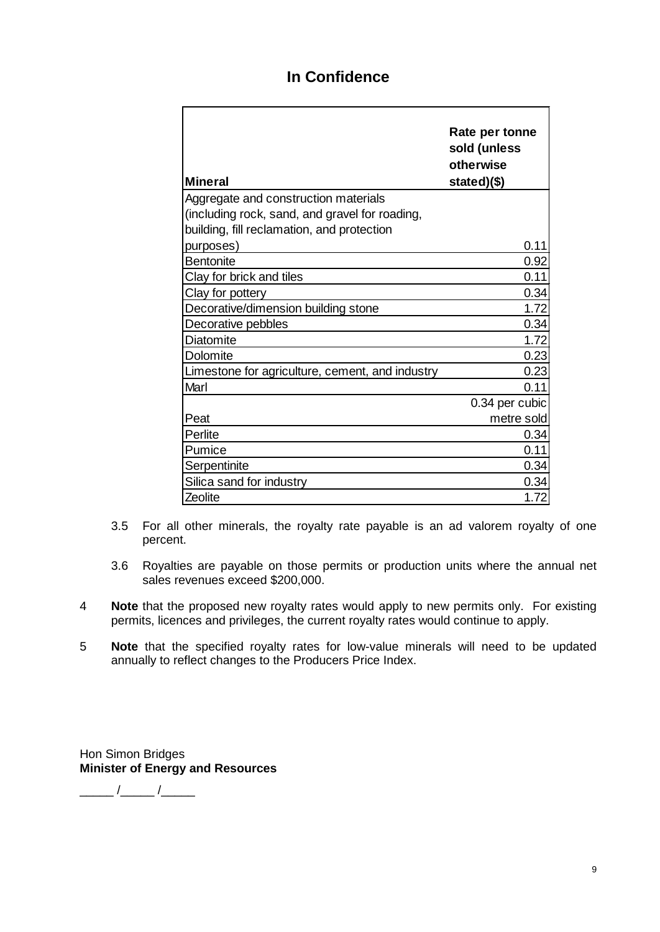| <b>Mineral</b>                                  | Rate per tonne<br>sold (unless<br>otherwise<br>stated)(\$) |  |  |
|-------------------------------------------------|------------------------------------------------------------|--|--|
| Aggregate and construction materials            |                                                            |  |  |
| (including rock, sand, and gravel for roading,  |                                                            |  |  |
| building, fill reclamation, and protection      |                                                            |  |  |
| purposes)                                       | 0.11                                                       |  |  |
| <b>Bentonite</b>                                | 0.92                                                       |  |  |
| Clay for brick and tiles                        | 0.11                                                       |  |  |
| Clay for pottery                                | 0.34                                                       |  |  |
| Decorative/dimension building stone             | 1.72                                                       |  |  |
| Decorative pebbles                              | 0.34                                                       |  |  |
| Diatomite                                       | 1.72                                                       |  |  |
| Dolomite                                        | 0.23                                                       |  |  |
| Limestone for agriculture, cement, and industry | 0.23                                                       |  |  |
| Marl                                            | 0.11                                                       |  |  |
|                                                 | 0.34 per cubic                                             |  |  |
| Peat                                            | metre sold                                                 |  |  |
| Perlite                                         | 0.34                                                       |  |  |
| Pumice                                          | 0.11                                                       |  |  |
| Serpentinite                                    | 0.34                                                       |  |  |
| Silica sand for industry                        | 0.34                                                       |  |  |
| Zeolite                                         | 1.72                                                       |  |  |

- 3.5 For all other minerals, the royalty rate payable is an ad valorem royalty of one percent.
- 3.6 Royalties are payable on those permits or production units where the annual net sales revenues exceed \$200,000.
- 4 **Note** that the proposed new royalty rates would apply to new permits only. For existing permits, licences and privileges, the current royalty rates would continue to apply.
- 5 **Note** that the specified royalty rates for low-value minerals will need to be updated annually to reflect changes to the Producers Price Index.

Hon Simon Bridges **Minister of Energy and Resources**

 $\frac{1}{\sqrt{2\pi}}$  / $\frac{1}{\sqrt{2\pi}}$  / $\frac{1}{\sqrt{2\pi}}$